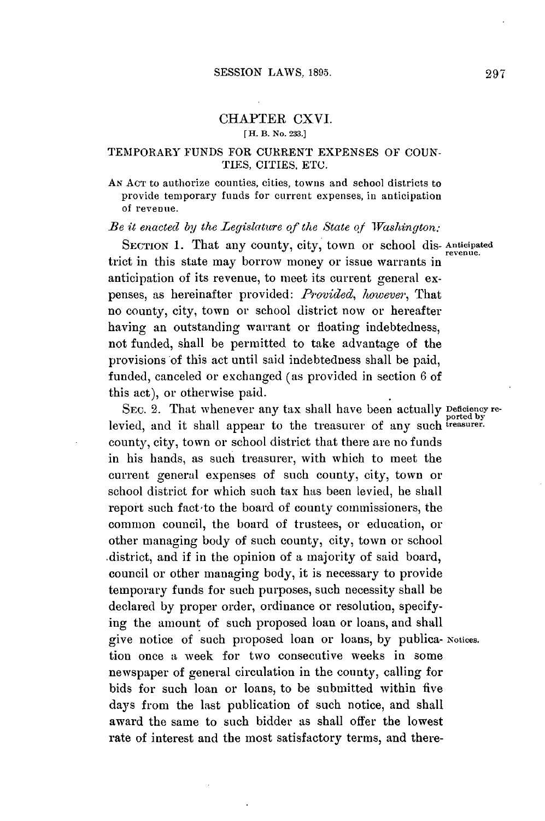## CHAPTER CXVI. **[H.** B. **No. 233.]**

## TEMPORARY **FUNDS** FOR CURRENT **EXPENSES** OF **COUN-TIES, CITIES, ETC.**

**AN ACT** to authorize counties, cities, towns and school districts to provide temporary funds for current expenses, in anticipation of revenue.

*Be it enacted by the Legislature of the State of Washington:*

SECTION 1. That any county, city, town or school dis-Anticipated trict in this state may borrow money or issue warrants in anticipation of its revenue, to meet its current general expenses, as hereinafter provided: *Provided, however,* That no county, city, town or school district now or hereafter having an outstanding warrant or floating indebtedness, not funded, shall be permitted to take advantage of the provisions of this act until said indebtedness shall be paid, funded, canceled or exchanged (as provided in section **6** of this act), or otherwise paid.

SEC. 2. That whenever any tax shall have been actually Deficiency reported **by** levied, and it shall appear to the treasurer of any such *treasurer*. county, city, town or school district that there are no funds in his hands, as such treasurer, with which to meet the current general expenses of such county, city, town or school district for which such tax has been levied, he shall report such fact to the board of county commissioners, the common council, the board of trustees, or education, or other managing body of such county, city, town or school district, and if in the opinion of a majority of said board, council or other managing body, it is necessary to provide temporary funds for such purposes, such necessity shall be declared **by** proper order, ordinance or resolution, specifying the amount of such proposed loan or loans, and shall give notice of such proposed loan or loans, **by** publica- **Notices.** tion once a week for two consecutive weeks in some newspaper of general circulation in the county, calling for bids for such loan or loans, to be submitted within five days from the last publication of such notice, and shall award the same to such bidder as shall offer the lowest rate of interest and the most satisfactory terms, and there-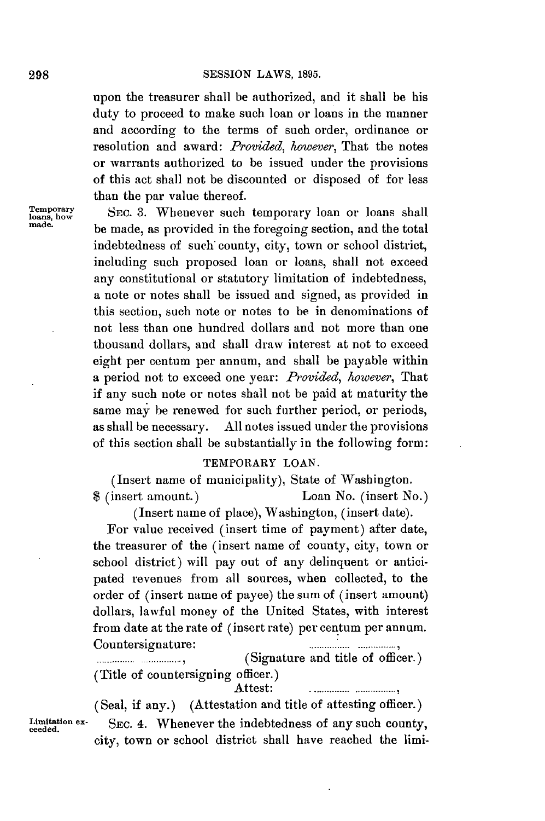upon the treasurer shall be authorized, and it shall be his duty to proceed to make such loan or loans in the manner and according to the terms of such order, ordinance or resolution and award: *Provided, however,* That the notes or warrants authorized to be issued under the provisions of this act shall not be discounted or disposed of for less than the par value thereof.

**Temporary** SEC. 3. Whenever such temporary loan or loans shall loans, how be made. **made.** be made, as provided in the foregoing section, and the total indebtedness of such' county, city, town or school district, including such proposed loan or loans, shall not exceed any constitutional or statutory limitation of indebtedness, a note or notes shall be issued and signed, as provided in this section, such note or notes to be in denominations of not less than one hundred dollars and not more than one thousand dollars, and shall draw interest at not to exceed eight per centum per annum, and shall be payable within a period not to exceed one year: *Provided, however,* That if any such note or notes shall not be paid at maturity the same may be renewed for such further period, or periods, as shall be necessary. **All** notes issued under the provisions of this section shall be substantially in the following form:

## TEMPORARY **LOAN.**

(Insert name of municipality), State of Washington. \$ (insert amount.) Loan No. (insert No.)

(Insert name of place), Washington, (insert date).

For value received (insert time of payment) after date, the treasurer of the (insert name of county, city, town or school district) will pay out of any delinquent or anticipated revenues from all sources, when collected, to the order of (insert name of payee) the sum of (insert amount) dollars, lawful money of the United States, with interest from date at the rate of (insert rate) per centum per annum. Countersignature:

**........ . .............. ,** (Signature and title of officer.) (Title of countersigning officer.) Attest: **.............................** 

(Seal, if any.) (Attestation and title of attesting officer.) Limitation ex- SEC. 4. Whenever the indebtedness of any such county, city, town or school district shall have reached the limi-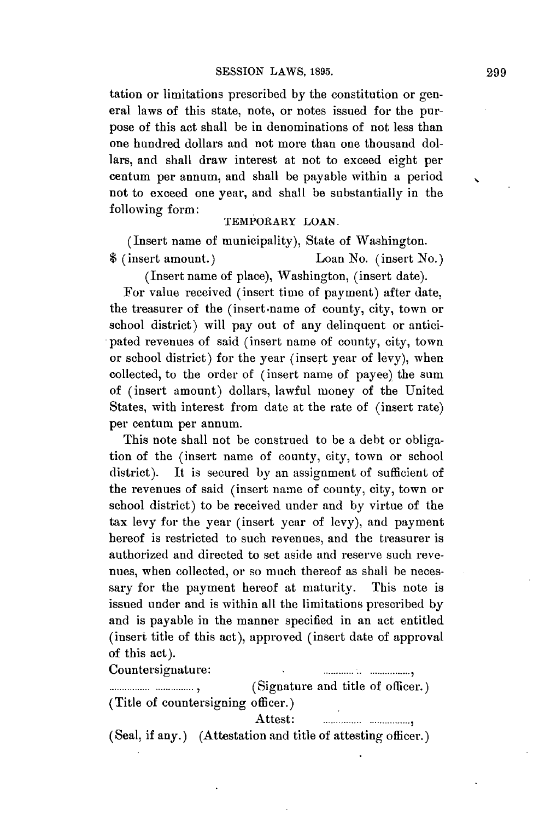tation or limitations prescribed **by** the constitution or general laws of this state, note, or notes issued for the purpose of this act shall be in denominations of not less than one hundred dollars and not more than one thousand dollars, and shall draw interest at not to exceed eight per centum per annum, and shall be payable within a period not to exceed one year, and shall be substantially in the following form:

## TEMPORARY **LOAN.**

(Insert name of municipality), State of Washington. \$ (insert amount.) Loan No. (insert No.)

(Insert name of place), Washington, (insert date).

For value received (insert time of payment) after date, the treasurer of the (insert-name of county, city, town or school district) will pay out of any delinquent or anticipated revenues of said (insert name of county, city, town or school district) for the year (insert year of levy), when collected, to the order of (insert name of payee) the sum of (insert amount) dollars, lawful money of the United States, with interest from date at the rate of (insert rate) per centum per annum.

This note shall not be construed to be a debt or obligation of the (insert name of county, city, town or school district). It is secured **by** an assignment of sufficient of the revenues of said (insert name of county, city, town or school district) to be received under and **by** virtue of the tax levy for the year (insert year of levy), and payment hereof is restricted to such revenues, and the treasurer is authorized and directed to set aside and reserve such revenues, when collected, or so much thereof as shall be necessary for the payment hereof at maturity. This note is issued under and is within all the limitations prescribed **by** and is payable in the manner specified in an act entitled (insert title of this act), approved (insert date of approval of this act).

Countersignature:

**Figure 2.1.** *(Signature and title of officer.)* (Title of countersigning officer.)

Attest: **...................................** 

(Seal, if any.) (Attestation and title of attesting officer.)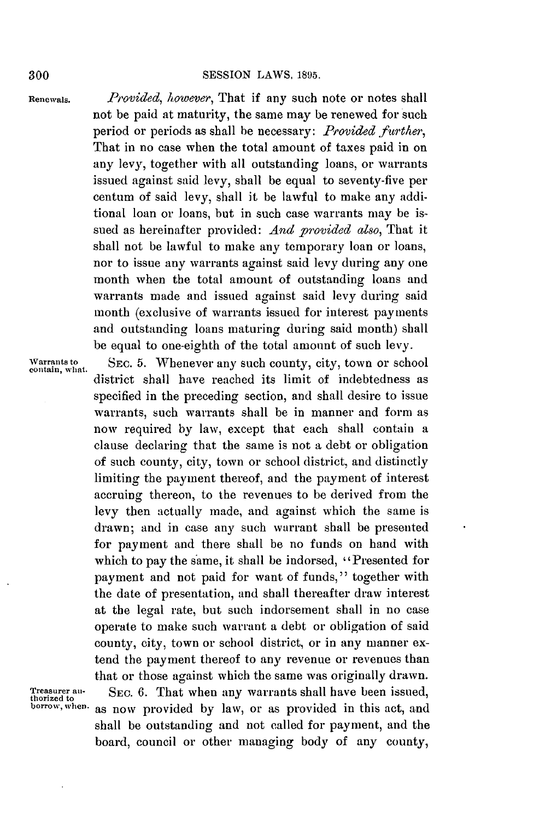**Renewals.** *Provided, however,* That if any such note or notes shall not be paid at maturity, the same may be renewed for such period or periods as shall be necessary: *Provided farther,* That in no case when the total amount of taxes paid in on any levy, together with all outstanding loans, or warrants issued against said levy, shall be equal to seventy-five per centum of said levy, shall it be lawful to make any additional loan or loans, but in such case warrants may be issued as hereinafter provided: *And provided also,* That it shall not be lawful to make any temporary loan or loans, nor to issue any warrants against said levy during any one month when the total amount of outstanding loans and warrants made and issued against said levy during said month (exclusive of warrants issued for interest payments and outstanding loans maturing during said month) shall be equal to one-eighth of the total amount of such levy.

Warrants to **SEC. 5.** Whenever any such county, city, town or school contain, what. district shall have reached its limit of indebtedness as specified in the preceding section, and shall desire to issue warrants, such warrants shall be in manner and form as now required **by** law, except that each shall contain a clause declaring that the same is not a debt or obligation of such county, city, town or school district, and distinctly limiting the payment thereof, and the payment of interest accruing thereon, to the revenues to be derived from the levy then actually made, and against which the same is drawn; and in case any such warrant shall be presented for payment and there shall be no funds on hand with which to pay the same, it shall be indorsed, "Presented for payment and not paid for want of funds," together with the date of presentation, and shall thereafter draw interest at the legal rate, but such indorsement shall in no case operate to make such warrant a debt or obligation of said county, city, town or school district, or in any manner extend the payment thereof to any revenue or revenues than that or those against which the same was originally drawn.

**Treasurer an-** SEc. **6.** That when any warrants shall have been issued, **thorized to borrow,when.** as now provided **by** law, or as provided in this act, and shall be outstanding and not called for payment, and the board, council or other managing body of any county,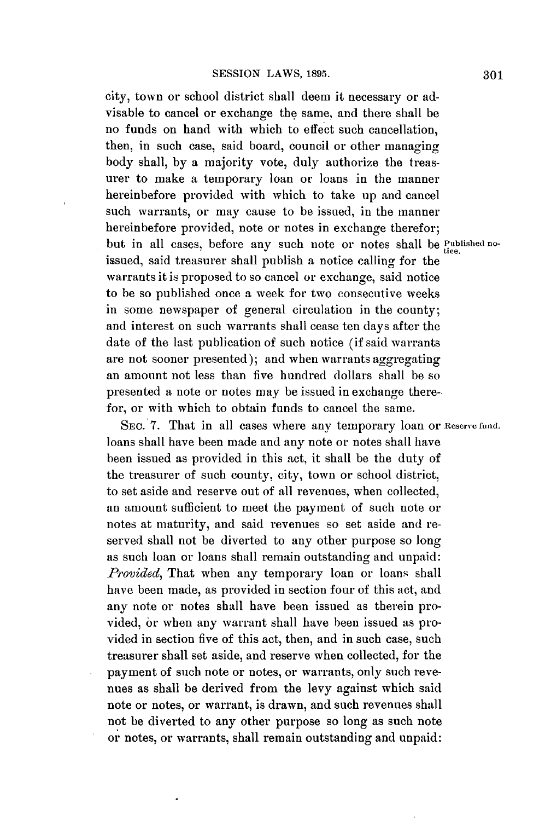*city,* town or school district shall deem it necessary or advisable to cancel or exchange the same, and there shall be no funds on hand with which to effect such cancellation, then, in such case, said board, council or other managing body shall, **by** a majority vote, duly authorize the treasurer to make a temporary loan or loans in the manner hereinbefore provided with which to take up and cancel such warrants, or may cause to be issued, in the manner hereinbefore provided, note or notes in exchange therefor; but in all cases, before any such note or notes shall be *Published no*issued, said treasurer shall publish a notice calling for the warrants it is proposed to so cancel or exchange, said notice to be so published once a week for two consecutive weeks in some newspaper of general circulation in the county; and interest on such warrants shall cease ten days after the date of the last publication of such notice (if said warrants are not sooner presented); and when warrants aggregating an amount not less than five hundred dollars shall be so presented a note or notes may **be** issued in exchange therefor, or with which to obtain funds to cancel the same.

**SEC. 7.** That in all cases where any temporary loan or **Reserve fund.** loans shall have been made and any note or notes shall have been issued as provided in this act, it shall be the duty of the treasurer of such county, city, town or school district, to set aside and reserve out of all revenues, when collected, an amount sufficient to meet the payment of such note or notes at maturity, and said revenues so set aside and reserved shall not be diverted to any other purpose so long as such loan or loans shall remain outstanding and unpaid: *Provided*, That when any temporary loan or loans shall have been made, as provided in section four of this act, and any note or notes shall have been issued as therein provided, or when any warrant shall have been issued as provided in section five of this act, then, and in such case, such treasurer shall set aside, and reserve when collected, for the payment of such note or notes, or warrants, only such revenues as shall be derived from the levy against which said note or notes, or warrant, is drawn, and such revenues shall not be diverted to any other purpose so long as such note or notes, or warrants, shall remain outstanding and unpaid: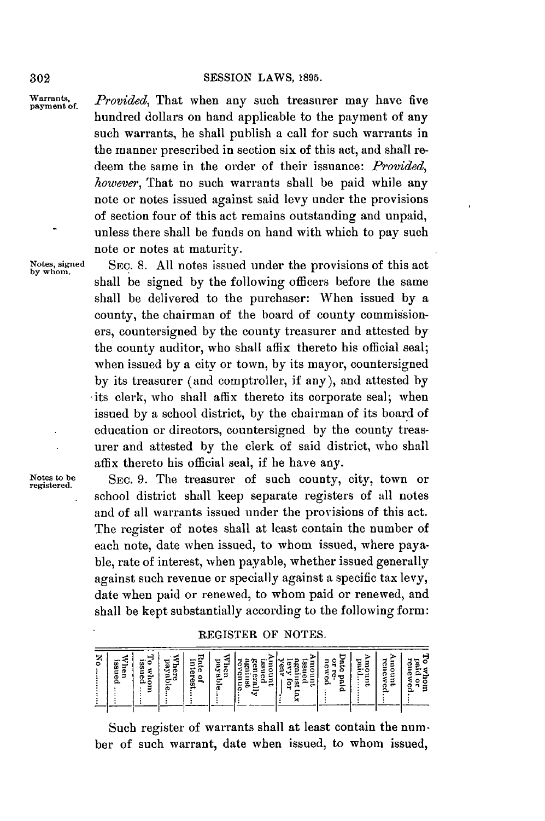Warrants, Provided, That when any such treasurer may have five hundred dollars on hand applicable to the payment of any such warrants, he shall publish a call for such warrants in the manner prescribed in section six of this act, and shall redeem the same in the order of their issuance: *Provided, however,* That no such warrants shall be paid while any note or notes issued against said levy under the provisions of section four of this act remains outstanding and unpaid, unless there shall be funds on hand with which to pay such note or notes at maturity.

**Notes, signed** SEc. **8. All** notes issued under the provisions of this act **by whom.** shall be signed **by** the following officers before the same shall be delivered to the purchaser: When issued **by** a county, the chairman of the board of county commissioners, countersigned **by** the county treasurer and attested **by** the county auditor, who shall affix thereto his official seal; when issued **by** a city or town, **by** its mayor, countersigned **by** its treasurer (and comptroller, if any), and attested **by** its clerk, who shall affix thereto its corporate seal; when issued **by** a school district, **by** the chairman of its board of education or directors, countersigned **by** the county treasurer and attested **by** the clerk of said district, who shall affix thereto his official seal, if he have any.

Notes to be **SEC. 9.** The treasurer of such county, city, town or school district shall keep separate registers of all notes and of all warrants issued under the provisions of this act. The register of notes shall at least contain the number of each note, date when issued, to whom issued, where payable, rate of interest, when payable, whether issued generally against such revenue or specially against a specific tax levy, date when paid or renewed, to whom paid or renewed, and shall be kept substantially according to the following form:

REGISTER OF **NOTES.**

| ⊷<br>ర<br>æ<br>=<br>-<br>Φ<br>Ω. | -<br>m | SS <sub>I</sub><br>ó<br>a<br>-<br>₩<br>Φ<br>ാ<br>с | इ<br>ಕ<br>ă<br>¢<br>2<br>⋍<br>c<br>œ | Ŝ<br>Ξ<br>నె<br>Ф<br>۳,<br>۰<br>8<br>-<br>− | Έ<br>ь<br>ō<br>٩ę.<br>Е<br>ø<br>ىخ<br>-<br>ω | ×<br>-<br>58<br>Ġ<br>Ò.<br>œ<br>e<br>Ê<br>-<br>U.<br>ಜ<br>ទី<br>÷<br>⋴ | -<br>m<br>Ξ<br>g<br>ሟ<br>Ř<br>ത<br>c<br>œ<br>≕<br>w<br>2<br>÷<br>⊶ | ÷<br>្មុ<br>ខី<br>∽<br>Φ<br>c<br>$\overline{\phantom{a}}$<br>о<br>ъ<br>ø<br>٥.<br>٠.<br>Ω. | g<br>F<br>⌒<br>ರ<br> | ē<br>9<br>ο<br>О<br>۵<br>≈<br>$\blacksquare$<br>o<br>◠ | m<br>ä<br>m<br>÷<br>Φ<br>c<br>n<br>Ф<br>e<br>പ |
|----------------------------------|--------|----------------------------------------------------|--------------------------------------|---------------------------------------------|----------------------------------------------|------------------------------------------------------------------------|--------------------------------------------------------------------|--------------------------------------------------------------------------------------------|----------------------|--------------------------------------------------------|------------------------------------------------|
|----------------------------------|--------|----------------------------------------------------|--------------------------------------|---------------------------------------------|----------------------------------------------|------------------------------------------------------------------------|--------------------------------------------------------------------|--------------------------------------------------------------------------------------------|----------------------|--------------------------------------------------------|------------------------------------------------|

Such register of warrants shall at least contain the number of such warrant, date when issued, to whom issued,